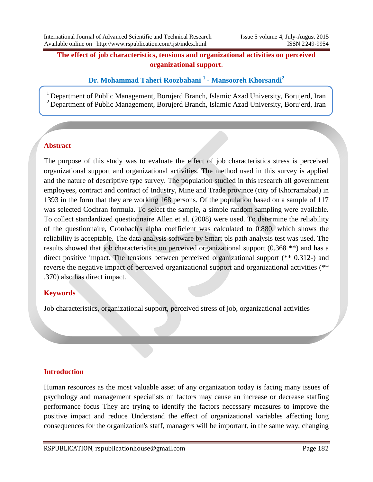## **The effect of job characteristics, tensions and organizational activities on perceived organizational support**.

**Dr. Mohammad Taheri Roozbahani <sup>1</sup> - Mansooreh Khorsandi<sup>2</sup>**

<sup>1</sup> Department of Public Management, Borujerd Branch, Islamic Azad University, Borujerd, Iran <sup>2</sup> Department of Public Management, Borujerd Branch, Islamic Azad University, Borujerd, Iran

# **Abstract**

The purpose of this study was to evaluate the effect of job characteristics stress is perceived organizational support and organizational activities. The method used in this survey is applied and the nature of descriptive type survey. The population studied in this research all government employees, contract and contract of Industry, Mine and Trade province (city of Khorramabad) in 1393 in the form that they are working 168 persons. Of the population based on a sample of 117 was selected Cochran formula. To select the sample, a simple random sampling were available. To collect standardized questionnaire Allen et al. (2008) were used. To determine the reliability of the questionnaire, Cronbach's alpha coefficient was calculated to 0.880, which shows the reliability is acceptable. The data analysis software by Smart pls path analysis test was used. The results showed that job characteristics on perceived organizational support (0.368 \*\*) and has a direct positive impact. The tensions between perceived organizational support (\*\* 0.312-) and reverse the negative impact of perceived organizational support and organizational activities (\*\* .370) also has direct impact.

# **Keywords**

Job characteristics, organizational support, perceived stress of job, organizational activities

### **Introduction**

Human resources as the most valuable asset of any organization today is facing many issues of psychology and management specialists on factors may cause an increase or decrease staffing performance focus They are trying to identify the factors necessary measures to improve the positive impact and reduce Understand the effect of organizational variables affecting long consequences for the organization's staff, managers will be important, in the same way, changing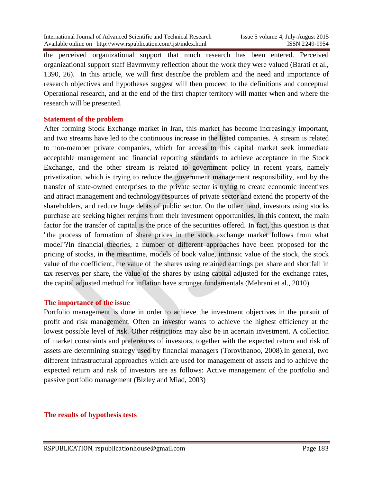the perceived organizational support that much research has been entered. Perceived organizational support staff Bavrmvmy reflection about the work they were valued (Barati et al., 1390, 26). In this article, we will first describe the problem and the need and importance of research objectives and hypotheses suggest will then proceed to the definitions and conceptual Operational research, and at the end of the first chapter territory will matter when and where the research will be presented.

#### **Statement of the problem**

After forming Stock Exchange market in Iran, this market has become increasingly important, and two streams have led to the continuous increase in the listed companies. A stream is related to non-member private companies, which for access to this capital market seek immediate acceptable management and financial reporting standards to achieve acceptance in the Stock Exchange, and the other stream is related to government policy in recent years, namely privatization, which is trying to reduce the government management responsibility, and by the transfer of state-owned enterprises to the private sector is trying to create economic incentives and attract management and technology resources of private sector and extend the property of the shareholders, and reduce huge debts of public sector. On the other hand, investors using stocks purchase are seeking higher returns from their investment opportunities. In this context, the main factor for the transfer of capital is the price of the securities offered. In fact, this question is that "the process of formation of share prices in the stock exchange market follows from what model"?In financial theories, a number of different approaches have been proposed for the pricing of stocks, in the meantime, models of book value, intrinsic value of the stock, the stock value of the coefficient, the value of the shares using retained earnings per share and shortfall in tax reserves per share, the value of the shares by using capital adjusted for the exchange rates, the capital adjusted method for inflation have stronger fundamentals (Mehrani et al., 2010).

#### **The importance of the issue**

Portfolio management is done in order to achieve the investment objectives in the pursuit of profit and risk management. Often an investor wants to achieve the highest efficiency at the lowest possible level of risk. Other restrictions may also be in acertain investment. A collection of market constraints and preferences of investors, together with the expected return and risk of assets are determining strategy used by financial managers (Torovibanoo, 2008).In general, two different infrastructural approaches which are used for management of assets and to achieve the expected return and risk of investors are as follows: Active management of the portfolio and passive portfolio management (Bizley and Miad, 2003)

#### **The results of hypothesis tests**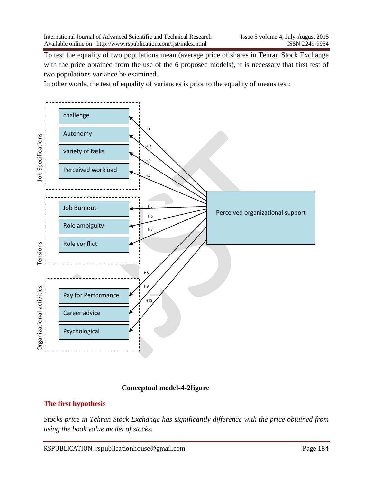To test the equality of two populations mean (average price of shares in Tehran Stock Exchange with the price obtained from the use of the 6 proposed models), it is necessary that first test of two populations variance be examined.

In other words, the test of equality of variances is prior to the equality of means test:



### **Conceptual model-4-2figure**

# **The first hypothesis**

*Stocks price in Tehran Stock Exchange has significantly difference with the price obtained from using the book value model of stocks.*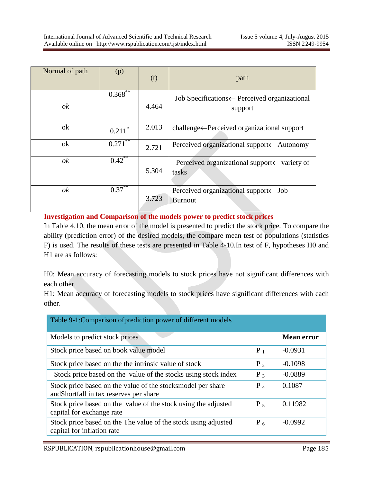| Normal of path | (p)                  | (t)   | path                                                                |
|----------------|----------------------|-------|---------------------------------------------------------------------|
| ok             | $0.368^{**}$         | 4.464 | Job Specifications + Perceived organizational<br>support            |
| ok             | $0.211$ <sup>*</sup> | 2.013 | challenge←Perceived organizational support                          |
| ok             | 0.271                | 2.721 | Perceived organizational support← Autonomy                          |
| ok             | $0.42$ **            | 5.304 | Perceived organizational support← variety of<br>tasks               |
| ok             | $0.37***$            | 3.723 | Perceived organizational support $\leftarrow$ Job<br><b>Burnout</b> |

**Investigation and Comparison of the models power to predict stock prices**

In Table 4.10, the mean error of the model is presented to predict the stock price. To compare the ability (prediction error) of the desired models, the compare mean test of populations (statistics F) is used. The results of these tests are presented in Table 4-10.In test of F, hypotheses H0 and H1 are as follows:

H0: Mean accuracy of forecasting models to stock prices have not significant differences with each other.

H1: Mean accuracy of forecasting models to stock prices have significant differences with each other.

| Table 9-1: Comparison of prediction power of different models                                          |       |                   |  |  |
|--------------------------------------------------------------------------------------------------------|-------|-------------------|--|--|
| Models to predict stock prices                                                                         |       | <b>Mean error</b> |  |  |
| Stock price based on book value model                                                                  | $P_1$ | $-0.0931$         |  |  |
| Stock price based on the the intrinsic value of stock                                                  | $P_2$ | $-0.1098$         |  |  |
| Stock price based on the value of the stocks using stock index                                         | $P_3$ | $-0.0889$         |  |  |
| Stock price based on the value of the stocksmodel per share<br>and Shortfall in tax reserves per share | $P_4$ | 0.1087            |  |  |
| Stock price based on the value of the stock using the adjusted<br>capital for exchange rate            | $P_5$ | 0.11982           |  |  |
| Stock price based on the The value of the stock using adjusted<br>capital for inflation rate           |       | $-0.0992$         |  |  |

RSPUBLICATION, rspublicationhouse@gmail.com Page 185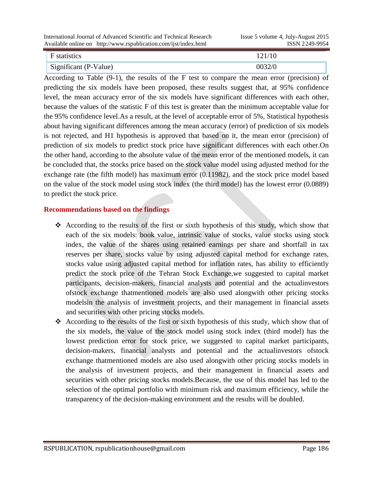| International Journal of Advanced Scientific and Technical Research<br>Available online on http://www.rspublication.com/ijst/index.html | Issue 5 volume 4, July-August 2015<br>ISSN 2249-9954 |
|-----------------------------------------------------------------------------------------------------------------------------------------|------------------------------------------------------|
| $\vert$ F statistics                                                                                                                    | 121/10                                               |

Significant (P-Value) 0032/0

According to Table (9-1), the results of the F test to compare the mean error (precision) of predicting the six models have been proposed, these results suggest that, at 95% confidence level, the mean accuracy error of the six models have significant differences with each other, because the values of the statistic F of this test is greater than the minimum acceptable value for the 95% confidence level.As a result, at the level of acceptable error of 5%, Statistical hypothesis about having significant differences among the mean accuracy (error) of prediction of six models is not rejected, and H1 hypothesis is approved that based on it, the mean error (precision) of prediction of six models to predict stock price have significant differences with each other.On the other hand, according to the absolute value of the mean error of the mentioned models, it can be concluded that, the stocks price based on the stock value model using adjusted method for the exchange rate (the fifth model) has maximum error (0.11982), and the stock price model based on the value of the stock model using stock index (the third model) has the lowest error (0.0889) to predict the stock price.

## **Recommendations based on the findings**

- According to the results of the first or sixth hypothesis of this study, which show that each of the six models: book value, intrinsic value of stocks, value stocks using stock index, the value of the shares using retained earnings per share and shortfall in tax reserves per share, stocks value by using adjusted capital method for exchange rates, stocks value using adjusted capital method for inflation rates, has ability to efficiently predict the stock price of the Tehran Stock Exchange,we suggested to capital market participants, decision-makers, financial analysts and potential and the actualinvestors ofstock exchange thatmentioned models are also used alongwith other pricing stocks modelsin the analysis of investment projects, and their management in financial assets and securities with other pricing stocks models.
- According to the results of the first or sixth hypothesis of this study, which show that of the six models, the value of the stock model using stock index (third model) has the lowest prediction error for stock price, we suggested to capital market participants, decision-makers, financial analysts and potential and the actualinvestors ofstock exchange thatmentioned models are also used alongwith other pricing stocks models in the analysis of investment projects, and their management in financial assets and securities with other pricing stocks models.Because, the use of this model has led to the selection of the optimal portfolio with minimum risk and maximum efficiency, while the transparency of the decision-making environment and the results will be doubled.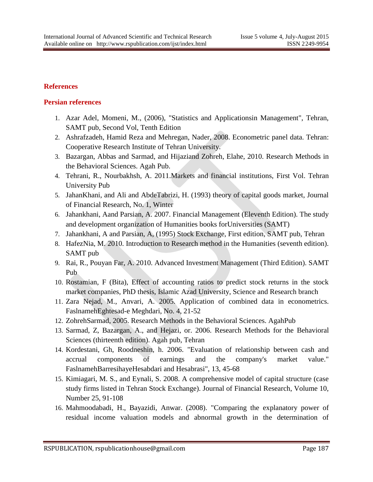### **References**

### **Persian references**

- 1. Azar Adel, Momeni, M., (2006), "Statistics and Applicationsin Management", Tehran, SAMT pub, Second Vol, Tenth Edition
- 2. Ashrafzadeh, Hamid Reza and Mehregan, Nader, 2008. Econometric panel data. Tehran: Cooperative Research Institute of Tehran University.
- 3. Bazargan, Abbas and Sarmad, and Hijaziand Zohreh, Elahe, 2010. Research Methods in the Behavioral Sciences. Agah Pub.
- 4. Tehrani, R., Nourbakhsh, A. 2011.Markets and financial institutions, First Vol. Tehran University Pub
- 5. JahanKhani, and Ali and AbdeTabrizi, H. (1993) theory of capital goods market, Journal of Financial Research, No. 1, Winter
- 6. Jahankhani, Aand Parsian, A. 2007. Financial Management (Eleventh Edition). The study and development organization of Humanities books forUniversities (SAMT)
- 7. Jahankhani, A and Parsian, A, (1995) Stock Exchange, First edition, SAMT pub, Tehran
- 8. HafezNia, M. 2010. Introduction to Research method in the Humanities (seventh edition). SAMT pub
- 9. Rai, R., Pouyan Far, A. 2010. Advanced Investment Management (Third Edition). SAMT Pub
- 10. Rostamian, F (Bita), Effect of accounting ratios to predict stock returns in the stock market companies, PhD thesis, Islamic Azad University, Science and Research branch
- 11. Zara Nejad, M., Anvari, A. 2005. Application of combined data in econometrics. FaslnamehEghtesad-e Meghdari, No. 4, 21-52
- 12. ZohrehSarmad, 2005. Research Methods in the Behavioral Sciences. AgahPub
- 13. Sarmad, Z, Bazargan, A., and Hejazi, or. 2006. Research Methods for the Behavioral Sciences (thirteenth edition). Agah pub, Tehran
- 14. Kordestani, Gh, Roodneshin, h. 2006. "Evaluation of relationship between cash and accrual components of earnings and the company's market value." FaslnamehBarresihayeHesabdari and Hesabrasi", 13, 45-68
- 15. Kimiagari, M. S., and Eynali, S. 2008. A comprehensive model of capital structure (case study firms listed in Tehran Stock Exchange). Journal of Financial Research, Volume 10, Number 25, 91-108
- 16. Mahmoodabadi, H., Bayazidi, Anwar. (2008). "Comparing the explanatory power of residual income valuation models and abnormal growth in the determination of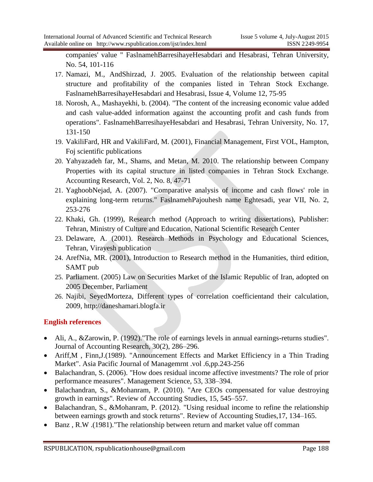companies' value " FaslnamehBarresihayeHesabdari and Hesabrasi, Tehran University, No. 54, 101-116

- 17. Namazi, M., AndShirzad, J. 2005. Evaluation of the relationship between capital structure and profitability of the companies listed in Tehran Stock Exchange. FaslnamehBarresihayeHesabdari and Hesabrasi, Issue 4, Volume 12, 75-95
- 18. Norosh, A., Mashayekhi, b. (2004). "The content of the increasing economic value added and cash value-added information against the accounting profit and cash funds from operations". FaslnamehBarresihayeHesabdari and Hesabrasi, Tehran University, No. 17, 131-150
- 19. VakiliFard, HR and VakiliFard, M. (2001), Financial Management, First VOL, Hampton, Foj scientific publications
- 20. Yahyazadeh far, M., Shams, and Metan, M. 2010. The relationship between Company Properties with its capital structure in listed companies in Tehran Stock Exchange. Accounting Research, Vol. 2, No. 8, 47-71
- 21. YaghoobNejad, A. (2007). "Comparative analysis of income and cash flows' role in explaining long-term returns." FaslnamehPajouhesh name Eghtesadi, year VII, No. 2, 253-276
- 22. Khaki, Gh. (1999), Research method (Approach to writing dissertations), Publisher: Tehran, Ministry of Culture and Education, National Scientific Research Center
- 23. Delaware, A. (2001). Research Methods in Psychology and Educational Sciences, Tehran, Virayesh publication
- 24. ArefNia, MR. (2001), Introduction to Research method in the Humanities, third edition, SAMT pub
- 25. Parliament. (2005) Law on Securities Market of the Islamic Republic of Iran, adopted on 2005 December, Parliament
- 26. Najibi, SeyedMorteza, Different types of correlation coefficientand their calculation, 2009, http://daneshamari.blogfa.ir

# **English references**

- Ali, A., &Zarowin, P. (1992)."The role of earnings levels in annual earnings-returns studies". Journal of Accounting Research, 30(2), 286–296.
- Ariff,M , Finn,J.(1989). "Announcement Effects and Market Efficiency in a Thin Trading Market". Asia Pacific Journal of Managemrnt .vol .6,pp.243-256
- Balachandran, S. (2006). "How does residual income affective investments? The role of prior performance measures". Management Science, 53, 338–394.
- Balachandran, S., &Mohanram, P. (2010). "Are CEOs compensated for value destroying growth in earnings". Review of Accounting Studies, 15, 545–557.
- Balachandran, S., &Mohanram, P. (2012). "Using residual income to refine the relationship between earnings growth and stock returns". Review of Accounting Studies,17, 134–165.
- Banz , R.W .(1981)."The relationship between return and market value off comman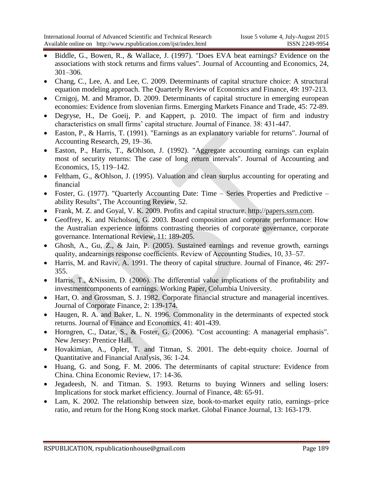- Biddle, G., Bowen, R., & Wallace, J. (1997). "Does EVA beat earnings? Evidence on the associations with stock returns and firms values". Journal of Accounting and Economics, 24, 301–306.
- Chang, C., Lee, A. and Lee, C. 2009. Determinants of capital structure choice: A structural equation modeling approach. The Quarterly Review of Economics and Finance, 49: 197-213.
- Crnigoj, M. and Mramor, D. 2009. Determinants of capital structure in emerging european economies: Evidence from slovenian firms. Emerging Markets Finance and Trade, 45: 72-89.
- Degryse, H., De Goeij, P. and Kappert, p. 2010. The impact of firm and industry characteristics on small firms' capital structure. Journal of Finance. 38: 431-447.
- Easton, P., & Harris, T. (1991). "Earnings as an explanatory variable for returns". Journal of Accounting Research, 29, 19–36.
- Easton, P., Harris, T., &Ohlson, J. (1992). "Aggregate accounting earnings can explain most of security returns: The case of long return intervals". Journal of Accounting and Economics, 15, 119–142.
- Feltham, G., &Ohlson, J. (1995). Valuation and clean surplus accounting for operating and financial
- Foster, G. (1977). "Quarterly Accounting Date: Time Series Properties and Predictive ability Results", The Accounting Review, 52.
- Frank, M. Z. and Goyal, V. K. 2009. Profits and capital structure. http:/[/papers.ssrn.com.](http://www.ssrn.com/)
- Geoffrey, K. and Nicholson, G. 2003. Board composition and corporate performance: How the Australian experience informs contrasting theories of corporate governance, corporate governance. International Review, 11: 189-205.
- Ghosh, A., Gu, Z., & Jain, P. (2005). Sustained earnings and revenue growth, earnings quality, andearnings response coefficients. Review of Accounting Studies, 10, 33–57.
- Harris, M. and Raviv, A. 1991. The theory of capital structure. Journal of Finance, 46: 297- 355.
- Harris, T., &Nissim, D. (2006). The differential value implications of the profitability and investmentcomponents of earnings. Working Paper, Columbia University.
- Hart, O. and Grossman, S. J. 1982. Corporate financial structure and managerial incentives. Journal of Corporate Finance, 2: 139-174.
- Haugen, R. A. and Baker, L. N. 1996. Commonality in the determinants of expected stock returns. Journal of Finance and Economics, 41: 401-439.
- Horngren, C., Datar, S., & Foster, G. (2006). "Cost accounting: A managerial emphasis". New Jersey: Prentice Hall.
- Hovakimian, A., Opler, T. and Titman, S. 2001. The debt-equity choice. Journal of Quantitative and Financial Analysis, 36: 1-24.
- Huang, G. and Song, F. M. 2006. The determinants of capital structure: Evidence from China. China Economic Review, 17: 14-36.
- Jegadeesh, N. and Titman. S. 1993. Returns to buying Winners and selling losers: Implications for stock market efficiency. Journal of Finance, 48: 65-91.
- Lam, K. 2002. The relationship between size, book-to-market equity ratio, earnings–price ratio, and return for the Hong Kong stock market. Global Finance Journal, 13: 163-179.